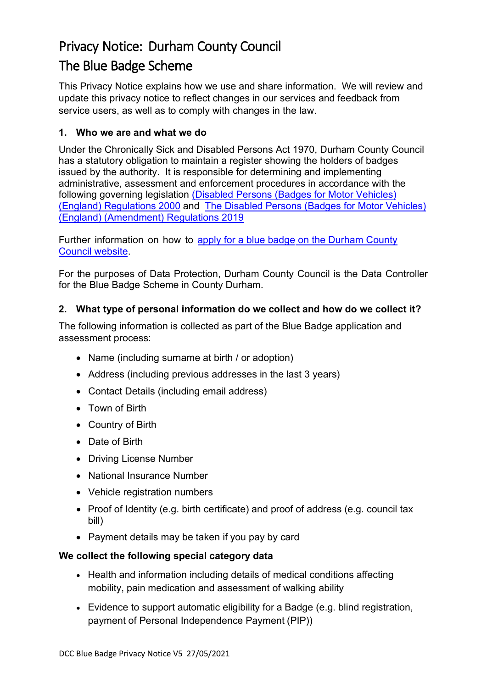# Privacy Notice: Durham County Council The Blue Badge Scheme

This Privacy Notice explains how we use and share information. We will review and update this privacy notice to reflect changes in our services and feedback from service users, as well as to comply with changes in the law.

## **1. Who we are and what we do**

Under the Chronically Sick and Disabled Persons Act 1970, Durham County Council has a statutory obligation to maintain a register showing the holders of badges issued by the authority. It is responsible for determining and implementing administrative, assessment and enforcement procedures in accordance with the following governing legislation [\(Disabled Persons \(Badges](http://www.legislation.gov.uk/uksi/2000/682/introduction/made) for Motor Vehicles) (England) [Regulations 2000](http://www.legislation.gov.uk/uksi/2000/682/introduction/made) and [The Disabled Persons \(Badges for Motor Vehicles\)](http://www.legislation.gov.uk/uksi/2019/891/made) (England) [\(Amendment\) Regulations 2019](http://www.legislation.gov.uk/uksi/2019/891/made)

Further information on how to apply for a blue badge on the Durham Coun[ty](http://www.durham.gov.uk/article/3081/Apply-for-or-renew-a-Blue-Badge)  [Council website](http://www.durham.gov.uk/article/3081/Apply-for-or-renew-a-Blue-Badge).

For the purposes of Data Protection, Durham County Council is the Data Controller for the Blue Badge Scheme in County Durham.

## **2. What type of personal information do we collect and how do we collect it?**

The following information is collected as part of the Blue Badge application and assessment process:

- Name (including surname at birth / or adoption)
- Address (including previous addresses in the last 3 years)
- Contact Details (including email address)
- Town of Birth
- Country of Birth
- Date of Birth
- Driving License Number
- National Insurance Number
- Vehicle registration numbers
- Proof of Identity (e.g. birth certificate) and proof of address (e.g. council tax bill)
- Payment details may be taken if you pay by card

## **We collect the following special category data**

- Health and information including details of medical conditions affecting mobility, pain medication and assessment of walking ability
- Evidence to support automatic eligibility for a Badge (e.g. blind registration, payment of Personal Independence Payment (PIP))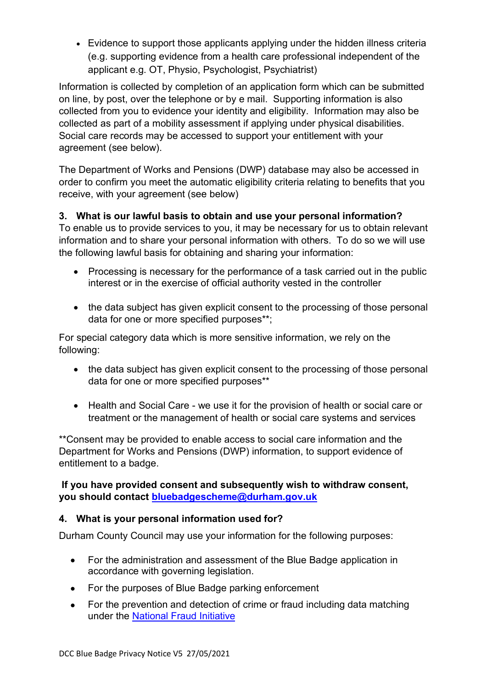• Evidence to support those applicants applying under the hidden illness criteria (e.g. supporting evidence from a health care professional independent of the applicant e.g. OT, Physio, Psychologist, Psychiatrist)

Information is collected by completion of an application form which can be submitted on line, by post, over the telephone or by e mail. Supporting information is also collected from you to evidence your identity and eligibility. Information may also be collected as part of a mobility assessment if applying under physical disabilities. Social care records may be accessed to support your entitlement with your agreement (see below).

The Department of Works and Pensions (DWP) database may also be accessed in order to confirm you meet the automatic eligibility criteria relating to benefits that you receive, with your agreement (see below)

# **3. What is our lawful basis to obtain and use your personal information?**

To enable us to provide services to you, it may be necessary for us to obtain relevant information and to share your personal information with others. To do so we will use the following lawful basis for obtaining and sharing your information:

- Processing is necessary for the performance of a task carried out in the public interest or in the exercise of official authority vested in the controller
- the data subject has given explicit consent to the processing of those personal data for one or more specified purposes\*\*;

For special category data which is more sensitive information, we rely on the following:

- the data subject has given explicit consent to the processing of those personal data for one or more specified purposes\*\*
- Health and Social Care we use it for the provision of health or social care or treatment or the management of health or social care systems and services

\*\*Consent may be provided to enable access to social care information and the Department for Works and Pensions (DWP) information, to support evidence of entitlement to a badge.

## **If you have provided consent and subsequently wish to withdraw consent, you should contact [bluebadgescheme@durham.gov.uk](mailto:bluebadgescheme@durham.gov.uk)**

## **4. What is your personal information used for?**

Durham County Council may use your information for the following purposes:

- For the administration and assessment of the Blue Badge application in accordance with governing legislation.
- For the purposes of Blue Badge parking enforcement
- For the prevention and detection of crime or fraud including data matching under the [National Fraud Initiative](http://www.durham.gov.uk/article/2535/National-Fraud-Initiative)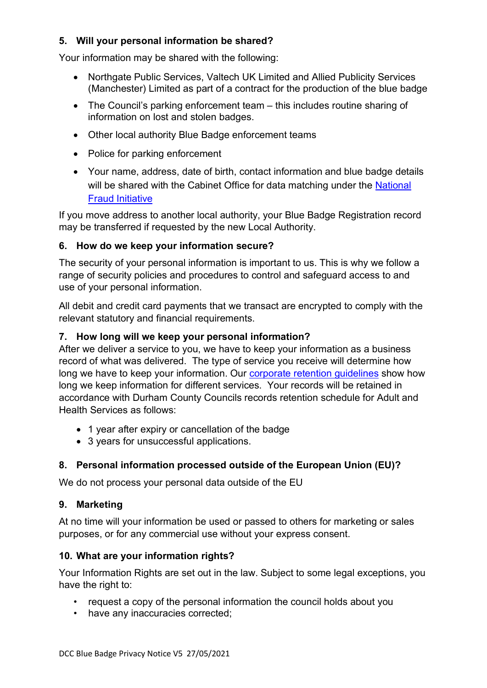# **5. Will your personal information be shared?**

Your information may be shared with the following:

- Northgate Public Services, Valtech UK Limited and Allied Publicity Services (Manchester) Limited as part of a contract for the production of the blue badge
- The Council's parking enforcement team this includes routine sharing of information on lost and stolen badges.
- Other local authority Blue Badge enforcement teams
- Police for parking enforcement
- Your name, address, date of birth, contact information and blue badge details will be shared with the Cabinet Office for data matching under the National [Fraud Initiative](http://www.durham.gov.uk/article/2535/National-Fraud-Initiative)

If you move address to another local authority, your Blue Badge Registration record may be transferred if requested by the new Local Authority.

## **6. How do we keep your information secure?**

The security of your personal information is important to us. This is why we follow a range of security policies and procedures to control and safeguard access to and use of your personal information.

All debit and credit card payments that we transact are encrypted to comply with the relevant statutory and financial requirements.

#### **7. How long will we keep your personal information?**

After we deliver a service to you, we have to keep your information as a business record of what was delivered. The type of service you receive will determine how long we have to keep your information. Our [corporate retention guidelines](http://www.durham.gov.uk/dataprivacy) show how long we keep information for different services. Your records will be retained in accordance with Durham County Councils records retention schedule for Adult and Health Services as follows:

- 1 year after expiry or cancellation of the badge
- 3 years for unsuccessful applications.

## **8. Personal information processed outside of the European Union (EU)?**

We do not process your personal data outside of the EU

## **9. Marketing**

At no time will your information be used or passed to others for marketing or sales purposes, or for any commercial use without your express consent.

#### **10. What are your information rights?**

Your Information Rights are set out in the law. Subject to some legal exceptions, you have the right to:

- request a copy of the personal information the council holds about you
- have any inaccuracies corrected;